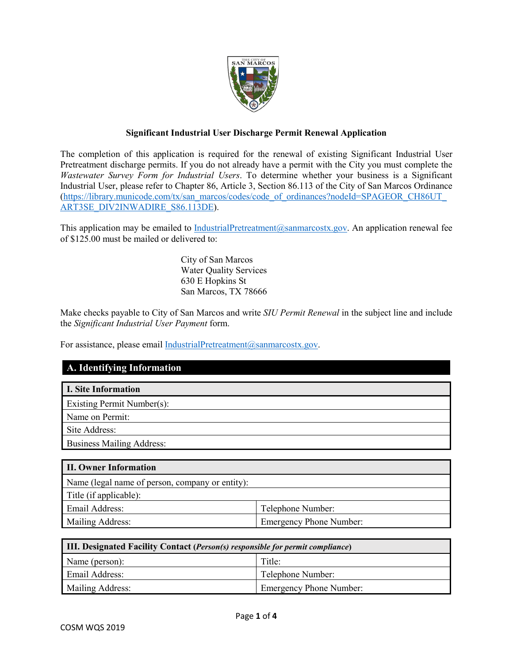

## **Significant Industrial User Discharge Permit Renewal Application**

The completion of this application is required for the renewal of existing Significant Industrial User Pretreatment discharge permits. If you do not already have a permit with the City you must complete the *Wastewater Survey Form for Industrial Users*. To determine whether your business is a Significant Industrial User, please refer to Chapter 86, Article 3, Section 86.113 of the City of San Marcos Ordinance [\(https://library.municode.com/tx/san\\_marcos/codes/code\\_of\\_ordinances?nodeId=SPAGEOR\\_CH86UT\\_](https://library.municode.com/tx/san_marcos/codes/code_of_ordinances?nodeId=SPAGEOR_CH86UT_ART3SE_DIV2INWADIRE_S86.113DE) [ART3SE\\_DIV2INWADIRE\\_S86.113DE\)](https://library.municode.com/tx/san_marcos/codes/code_of_ordinances?nodeId=SPAGEOR_CH86UT_ART3SE_DIV2INWADIRE_S86.113DE).

This application may be emailed to [IndustrialPretreatment@sanmarcostx.gov.](mailto:IndustrialPretreatment@sanmarcostx.gov) An application renewal fee of \$125.00 must be mailed or delivered to:

> City of San Marcos Water Quality Services 630 E Hopkins St San Marcos, TX 78666

Make checks payable to City of San Marcos and write *SIU Permit Renewal* in the subject line and include the *Significant Industrial User Payment* form.

For assistance, please email IndustrialPretreatment@sanmarcostx.gov.

## **A. Identifying Information**

| I. Site Information              |
|----------------------------------|
| Existing Permit Number(s):       |
| Name on Permit:                  |
| Site Address:                    |
| <b>Business Mailing Address:</b> |

| II. Owner Information                           |                                |
|-------------------------------------------------|--------------------------------|
| Name (legal name of person, company or entity): |                                |
| Title (if applicable):                          |                                |
| Email Address:                                  | Telephone Number:              |
| Mailing Address:                                | <b>Emergency Phone Number:</b> |

| <b>III. Designated Facility Contact (Person(s) responsible for permit compliance)</b> |        |  |  |  |  |
|---------------------------------------------------------------------------------------|--------|--|--|--|--|
| Name (person):                                                                        | Title: |  |  |  |  |
| Email Address:<br>Telephone Number:                                                   |        |  |  |  |  |
| Mailing Address:<br><b>Emergency Phone Number:</b>                                    |        |  |  |  |  |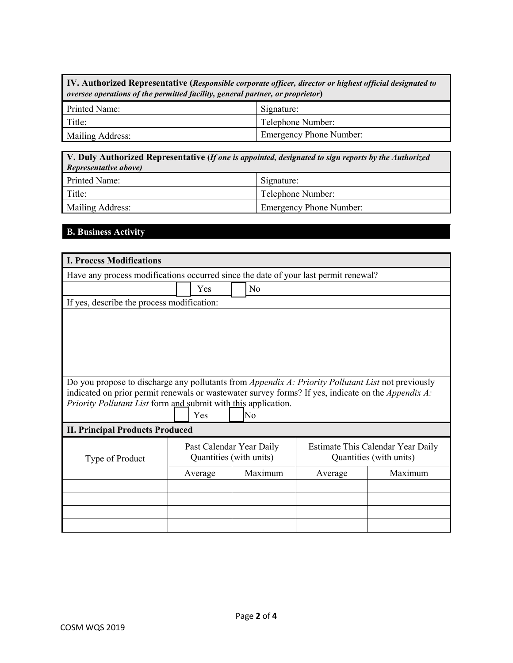**IV. Authorized Representative (***Responsible corporate officer, director or highest official designated to oversee operations of the permitted facility, general partner, or proprietor***)**

| Printed Name:    | Signature:                     |
|------------------|--------------------------------|
| Title:           | Telephone Number:              |
| Mailing Address: | <b>Emergency Phone Number:</b> |

| V. Duly Authorized Representative (If one is appointed, designated to sign reports by the Authorized<br>Representative above) |                   |  |  |  |  |
|-------------------------------------------------------------------------------------------------------------------------------|-------------------|--|--|--|--|
| Printed Name:                                                                                                                 | Signature:        |  |  |  |  |
| Title:                                                                                                                        | Telephone Number: |  |  |  |  |
| Mailing Address:<br><b>Emergency Phone Number:</b>                                                                            |                   |  |  |  |  |

## **B. Business Activity**

| <b>I. Process Modifications</b>                                                                                                                                                                                                                                                                 |                                                                                                                     |                       |                    |  |  |         |  |  |
|-------------------------------------------------------------------------------------------------------------------------------------------------------------------------------------------------------------------------------------------------------------------------------------------------|---------------------------------------------------------------------------------------------------------------------|-----------------------|--------------------|--|--|---------|--|--|
| Have any process modifications occurred since the date of your last permit renewal?                                                                                                                                                                                                             |                                                                                                                     |                       |                    |  |  |         |  |  |
|                                                                                                                                                                                                                                                                                                 |                                                                                                                     | N <sub>o</sub><br>Yes |                    |  |  |         |  |  |
| If yes, describe the process modification:                                                                                                                                                                                                                                                      |                                                                                                                     |                       |                    |  |  |         |  |  |
|                                                                                                                                                                                                                                                                                                 |                                                                                                                     |                       |                    |  |  |         |  |  |
|                                                                                                                                                                                                                                                                                                 |                                                                                                                     |                       |                    |  |  |         |  |  |
|                                                                                                                                                                                                                                                                                                 |                                                                                                                     |                       |                    |  |  |         |  |  |
| Do you propose to discharge any pollutants from Appendix A: Priority Pollutant List not previously<br>indicated on prior permit renewals or wastewater survey forms? If yes, indicate on the <i>Appendix A</i> :<br>Priority Pollutant List form and submit with this application.<br>No<br>Yes |                                                                                                                     |                       |                    |  |  |         |  |  |
|                                                                                                                                                                                                                                                                                                 | <b>II. Principal Products Produced</b>                                                                              |                       |                    |  |  |         |  |  |
| Type of Product                                                                                                                                                                                                                                                                                 | Past Calendar Year Daily<br>Estimate This Calendar Year Daily<br>Quantities (with units)<br>Quantities (with units) |                       |                    |  |  |         |  |  |
|                                                                                                                                                                                                                                                                                                 |                                                                                                                     | Average               | Maximum<br>Average |  |  | Maximum |  |  |
|                                                                                                                                                                                                                                                                                                 |                                                                                                                     |                       |                    |  |  |         |  |  |
|                                                                                                                                                                                                                                                                                                 |                                                                                                                     |                       |                    |  |  |         |  |  |
|                                                                                                                                                                                                                                                                                                 |                                                                                                                     |                       |                    |  |  |         |  |  |
|                                                                                                                                                                                                                                                                                                 |                                                                                                                     |                       |                    |  |  |         |  |  |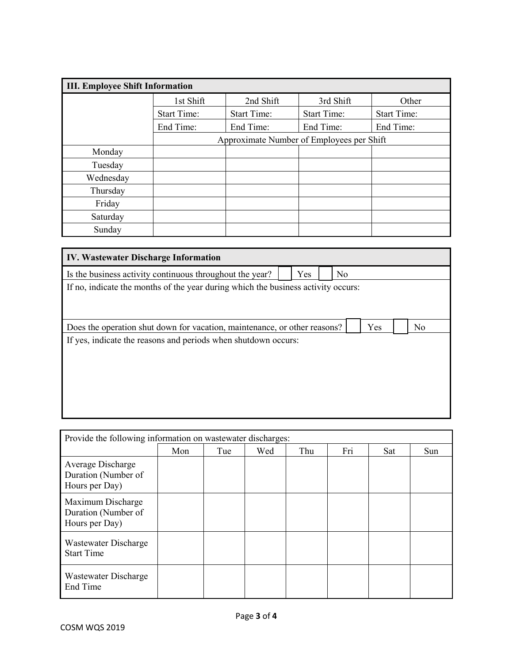| <b>III. Employee Shift Information</b> |                                                                |                                           |           |                    |  |  |  |  |
|----------------------------------------|----------------------------------------------------------------|-------------------------------------------|-----------|--------------------|--|--|--|--|
|                                        | 1st Shift                                                      | 2nd Shift                                 | 3rd Shift | Other              |  |  |  |  |
|                                        | <b>Start Time:</b><br><b>Start Time:</b><br><b>Start Time:</b> |                                           |           | <b>Start Time:</b> |  |  |  |  |
|                                        | End Time:                                                      | End Time:                                 | End Time: | End Time:          |  |  |  |  |
|                                        |                                                                | Approximate Number of Employees per Shift |           |                    |  |  |  |  |
| Monday                                 |                                                                |                                           |           |                    |  |  |  |  |
| Tuesday                                |                                                                |                                           |           |                    |  |  |  |  |
| Wednesday                              |                                                                |                                           |           |                    |  |  |  |  |
| Thursday                               |                                                                |                                           |           |                    |  |  |  |  |
| Friday                                 |                                                                |                                           |           |                    |  |  |  |  |
| Saturday                               |                                                                |                                           |           |                    |  |  |  |  |
| Sunday                                 |                                                                |                                           |           |                    |  |  |  |  |

| <b>IV. Wastewater Discharge Information</b>                                             |  |  |  |  |  |  |  |  |
|-----------------------------------------------------------------------------------------|--|--|--|--|--|--|--|--|
| Is the business activity continuous throughout the year?<br>Yes<br>No                   |  |  |  |  |  |  |  |  |
| If no, indicate the months of the year during which the business activity occurs:       |  |  |  |  |  |  |  |  |
|                                                                                         |  |  |  |  |  |  |  |  |
|                                                                                         |  |  |  |  |  |  |  |  |
| Does the operation shut down for vacation, maintenance, or other reasons?<br>Yes<br>No. |  |  |  |  |  |  |  |  |
| If yes, indicate the reasons and periods when shutdown occurs:                          |  |  |  |  |  |  |  |  |
|                                                                                         |  |  |  |  |  |  |  |  |
|                                                                                         |  |  |  |  |  |  |  |  |
|                                                                                         |  |  |  |  |  |  |  |  |
|                                                                                         |  |  |  |  |  |  |  |  |
|                                                                                         |  |  |  |  |  |  |  |  |

| Provide the following information on wastewater discharges: |     |     |     |     |     |            |            |
|-------------------------------------------------------------|-----|-----|-----|-----|-----|------------|------------|
|                                                             | Mon | Tue | Wed | Thu | Fri | <b>Sat</b> | <b>Sun</b> |
| Average Discharge<br>Duration (Number of<br>Hours per Day)  |     |     |     |     |     |            |            |
| Maximum Discharge<br>Duration (Number of<br>Hours per Day)  |     |     |     |     |     |            |            |
| Wastewater Discharge<br><b>Start Time</b>                   |     |     |     |     |     |            |            |
| Wastewater Discharge<br>End Time                            |     |     |     |     |     |            |            |